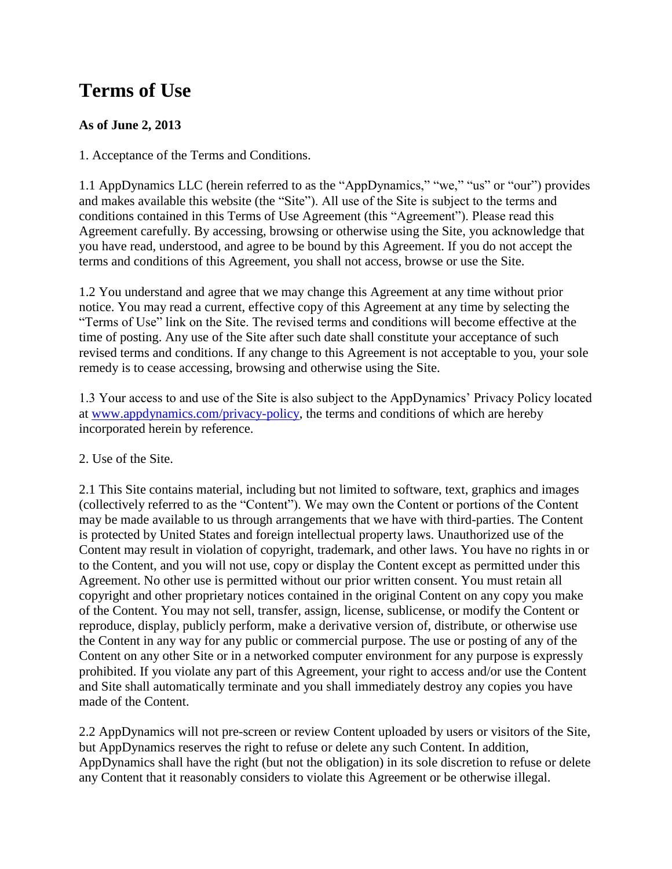# **Terms of Use**

# **As of June 2, 2013**

1. Acceptance of the Terms and Conditions.

1.1 AppDynamics LLC (herein referred to as the "AppDynamics," "we," "us" or "our") provides and makes available this website (the "Site"). All use of the Site is subject to the terms and conditions contained in this Terms of Use Agreement (this "Agreement"). Please read this Agreement carefully. By accessing, browsing or otherwise using the Site, you acknowledge that you have read, understood, and agree to be bound by this Agreement. If you do not accept the terms and conditions of this Agreement, you shall not access, browse or use the Site.

1.2 You understand and agree that we may change this Agreement at any time without prior notice. You may read a current, effective copy of this Agreement at any time by selecting the "Terms of Use" link on the Site. The revised terms and conditions will become effective at the time of posting. Any use of the Site after such date shall constitute your acceptance of such revised terms and conditions. If any change to this Agreement is not acceptable to you, your sole remedy is to cease accessing, browsing and otherwise using the Site.

1.3 Your access to and use of the Site is also subject to the AppDynamics' Privacy Policy located at [www.appdynamics.com/privacy-policy,](https://www.appdynamics.com/privacy-policy) the terms and conditions of which are hereby incorporated herein by reference.

## 2. Use of the Site.

2.1 This Site contains material, including but not limited to software, text, graphics and images (collectively referred to as the "Content"). We may own the Content or portions of the Content may be made available to us through arrangements that we have with third-parties. The Content is protected by United States and foreign intellectual property laws. Unauthorized use of the Content may result in violation of copyright, trademark, and other laws. You have no rights in or to the Content, and you will not use, copy or display the Content except as permitted under this Agreement. No other use is permitted without our prior written consent. You must retain all copyright and other proprietary notices contained in the original Content on any copy you make of the Content. You may not sell, transfer, assign, license, sublicense, or modify the Content or reproduce, display, publicly perform, make a derivative version of, distribute, or otherwise use the Content in any way for any public or commercial purpose. The use or posting of any of the Content on any other Site or in a networked computer environment for any purpose is expressly prohibited. If you violate any part of this Agreement, your right to access and/or use the Content and Site shall automatically terminate and you shall immediately destroy any copies you have made of the Content.

2.2 AppDynamics will not pre-screen or review Content uploaded by users or visitors of the Site, but AppDynamics reserves the right to refuse or delete any such Content. In addition, AppDynamics shall have the right (but not the obligation) in its sole discretion to refuse or delete any Content that it reasonably considers to violate this Agreement or be otherwise illegal.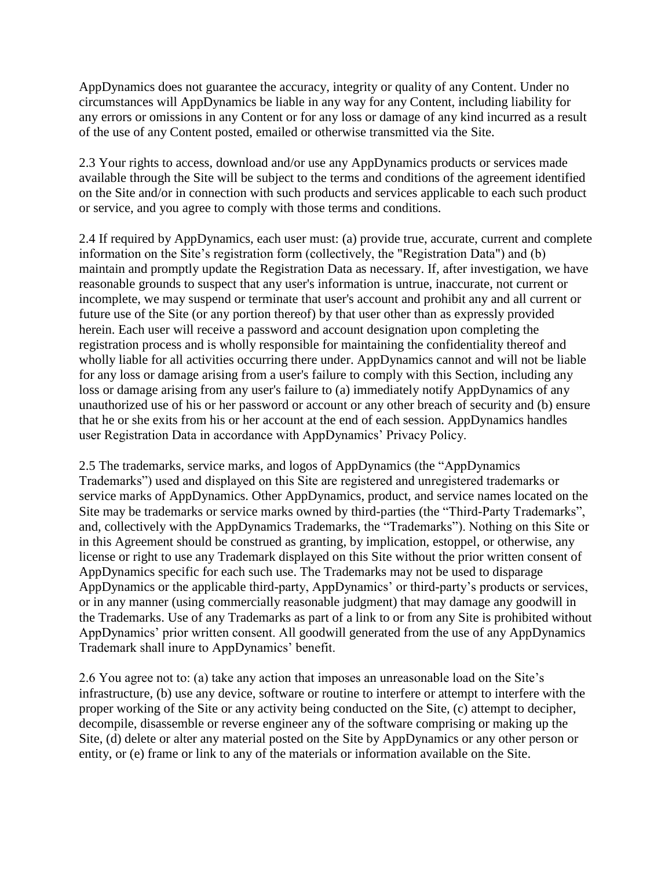AppDynamics does not guarantee the accuracy, integrity or quality of any Content. Under no circumstances will AppDynamics be liable in any way for any Content, including liability for any errors or omissions in any Content or for any loss or damage of any kind incurred as a result of the use of any Content posted, emailed or otherwise transmitted via the Site.

2.3 Your rights to access, download and/or use any AppDynamics products or services made available through the Site will be subject to the terms and conditions of the agreement identified on the Site and/or in connection with such products and services applicable to each such product or service, and you agree to comply with those terms and conditions.

2.4 If required by AppDynamics, each user must: (a) provide true, accurate, current and complete information on the Site's registration form (collectively, the "Registration Data") and (b) maintain and promptly update the Registration Data as necessary. If, after investigation, we have reasonable grounds to suspect that any user's information is untrue, inaccurate, not current or incomplete, we may suspend or terminate that user's account and prohibit any and all current or future use of the Site (or any portion thereof) by that user other than as expressly provided herein. Each user will receive a password and account designation upon completing the registration process and is wholly responsible for maintaining the confidentiality thereof and wholly liable for all activities occurring there under. AppDynamics cannot and will not be liable for any loss or damage arising from a user's failure to comply with this Section, including any loss or damage arising from any user's failure to (a) immediately notify AppDynamics of any unauthorized use of his or her password or account or any other breach of security and (b) ensure that he or she exits from his or her account at the end of each session. AppDynamics handles user Registration Data in accordance with AppDynamics' Privacy Policy.

2.5 The trademarks, service marks, and logos of AppDynamics (the "AppDynamics Trademarks") used and displayed on this Site are registered and unregistered trademarks or service marks of AppDynamics. Other AppDynamics, product, and service names located on the Site may be trademarks or service marks owned by third-parties (the "Third-Party Trademarks", and, collectively with the AppDynamics Trademarks, the "Trademarks"). Nothing on this Site or in this Agreement should be construed as granting, by implication, estoppel, or otherwise, any license or right to use any Trademark displayed on this Site without the prior written consent of AppDynamics specific for each such use. The Trademarks may not be used to disparage AppDynamics or the applicable third-party, AppDynamics' or third-party's products or services, or in any manner (using commercially reasonable judgment) that may damage any goodwill in the Trademarks. Use of any Trademarks as part of a link to or from any Site is prohibited without AppDynamics' prior written consent. All goodwill generated from the use of any AppDynamics Trademark shall inure to AppDynamics' benefit.

2.6 You agree not to: (a) take any action that imposes an unreasonable load on the Site's infrastructure, (b) use any device, software or routine to interfere or attempt to interfere with the proper working of the Site or any activity being conducted on the Site, (c) attempt to decipher, decompile, disassemble or reverse engineer any of the software comprising or making up the Site, (d) delete or alter any material posted on the Site by AppDynamics or any other person or entity, or (e) frame or link to any of the materials or information available on the Site.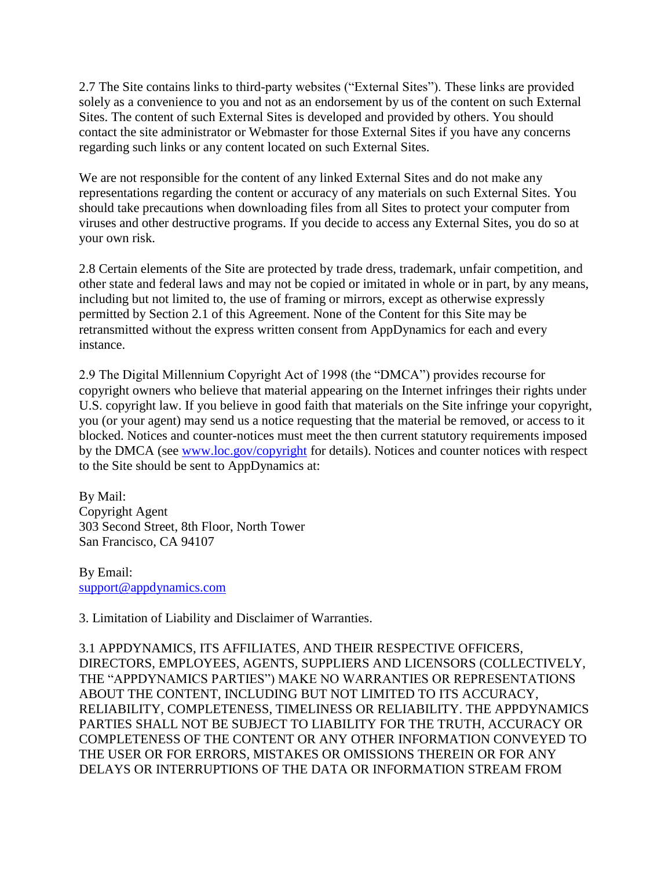2.7 The Site contains links to third-party websites ("External Sites"). These links are provided solely as a convenience to you and not as an endorsement by us of the content on such External Sites. The content of such External Sites is developed and provided by others. You should contact the site administrator or Webmaster for those External Sites if you have any concerns regarding such links or any content located on such External Sites.

We are not responsible for the content of any linked External Sites and do not make any representations regarding the content or accuracy of any materials on such External Sites. You should take precautions when downloading files from all Sites to protect your computer from viruses and other destructive programs. If you decide to access any External Sites, you do so at your own risk.

2.8 Certain elements of the Site are protected by trade dress, trademark, unfair competition, and other state and federal laws and may not be copied or imitated in whole or in part, by any means, including but not limited to, the use of framing or mirrors, except as otherwise expressly permitted by Section 2.1 of this Agreement. None of the Content for this Site may be retransmitted without the express written consent from AppDynamics for each and every instance.

2.9 The Digital Millennium Copyright Act of 1998 (the "DMCA") provides recourse for copyright owners who believe that material appearing on the Internet infringes their rights under U.S. copyright law. If you believe in good faith that materials on the Site infringe your copyright, you (or your agent) may send us a notice requesting that the material be removed, or access to it blocked. Notices and counter-notices must meet the then current statutory requirements imposed by the DMCA (see [www.loc.gov/copyright](http://www.loc.gov/copyright) for details). Notices and counter notices with respect to the Site should be sent to AppDynamics at:

By Mail: Copyright Agent 303 Second Street, 8th Floor, North Tower San Francisco, CA 94107

By Email: [support@appdynamics.com](mailto:support@appdynamics.com)

3. Limitation of Liability and Disclaimer of Warranties.

3.1 APPDYNAMICS, ITS AFFILIATES, AND THEIR RESPECTIVE OFFICERS, DIRECTORS, EMPLOYEES, AGENTS, SUPPLIERS AND LICENSORS (COLLECTIVELY, THE "APPDYNAMICS PARTIES") MAKE NO WARRANTIES OR REPRESENTATIONS ABOUT THE CONTENT, INCLUDING BUT NOT LIMITED TO ITS ACCURACY, RELIABILITY, COMPLETENESS, TIMELINESS OR RELIABILITY. THE APPDYNAMICS PARTIES SHALL NOT BE SUBJECT TO LIABILITY FOR THE TRUTH, ACCURACY OR COMPLETENESS OF THE CONTENT OR ANY OTHER INFORMATION CONVEYED TO THE USER OR FOR ERRORS, MISTAKES OR OMISSIONS THEREIN OR FOR ANY DELAYS OR INTERRUPTIONS OF THE DATA OR INFORMATION STREAM FROM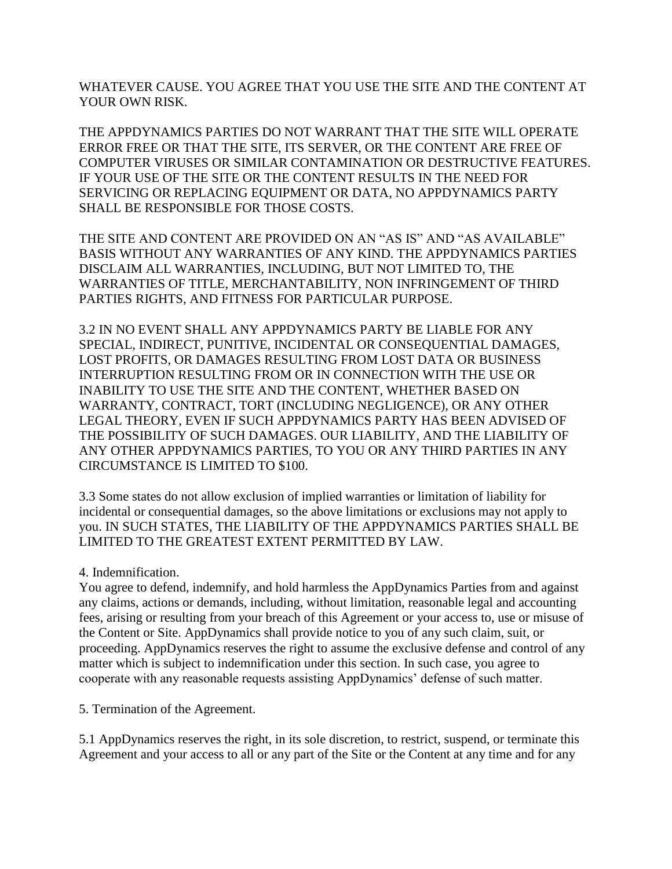WHATEVER CAUSE. YOU AGREE THAT YOU USE THE SITE AND THE CONTENT AT YOUR OWN RISK.

THE APPDYNAMICS PARTIES DO NOT WARRANT THAT THE SITE WILL OPERATE ERROR FREE OR THAT THE SITE, ITS SERVER, OR THE CONTENT ARE FREE OF COMPUTER VIRUSES OR SIMILAR CONTAMINATION OR DESTRUCTIVE FEATURES. IF YOUR USE OF THE SITE OR THE CONTENT RESULTS IN THE NEED FOR SERVICING OR REPLACING EQUIPMENT OR DATA, NO APPDYNAMICS PARTY SHALL BE RESPONSIBLE FOR THOSE COSTS.

THE SITE AND CONTENT ARE PROVIDED ON AN "AS IS" AND "AS AVAILABLE" BASIS WITHOUT ANY WARRANTIES OF ANY KIND. THE APPDYNAMICS PARTIES DISCLAIM ALL WARRANTIES, INCLUDING, BUT NOT LIMITED TO, THE WARRANTIES OF TITLE, MERCHANTABILITY, NON INFRINGEMENT OF THIRD PARTIES RIGHTS, AND FITNESS FOR PARTICULAR PURPOSE.

3.2 IN NO EVENT SHALL ANY APPDYNAMICS PARTY BE LIABLE FOR ANY SPECIAL, INDIRECT, PUNITIVE, INCIDENTAL OR CONSEQUENTIAL DAMAGES, LOST PROFITS, OR DAMAGES RESULTING FROM LOST DATA OR BUSINESS INTERRUPTION RESULTING FROM OR IN CONNECTION WITH THE USE OR INABILITY TO USE THE SITE AND THE CONTENT, WHETHER BASED ON WARRANTY, CONTRACT, TORT (INCLUDING NEGLIGENCE), OR ANY OTHER LEGAL THEORY, EVEN IF SUCH APPDYNAMICS PARTY HAS BEEN ADVISED OF THE POSSIBILITY OF SUCH DAMAGES. OUR LIABILITY, AND THE LIABILITY OF ANY OTHER APPDYNAMICS PARTIES, TO YOU OR ANY THIRD PARTIES IN ANY CIRCUMSTANCE IS LIMITED TO \$100.

3.3 Some states do not allow exclusion of implied warranties or limitation of liability for incidental or consequential damages, so the above limitations or exclusions may not apply to you. IN SUCH STATES, THE LIABILITY OF THE APPDYNAMICS PARTIES SHALL BE LIMITED TO THE GREATEST EXTENT PERMITTED BY LAW.

4. Indemnification.

You agree to defend, indemnify, and hold harmless the AppDynamics Parties from and against any claims, actions or demands, including, without limitation, reasonable legal and accounting fees, arising or resulting from your breach of this Agreement or your access to, use or misuse of the Content or Site. AppDynamics shall provide notice to you of any such claim, suit, or proceeding. AppDynamics reserves the right to assume the exclusive defense and control of any matter which is subject to indemnification under this section. In such case, you agree to cooperate with any reasonable requests assisting AppDynamics' defense of such matter.

5. Termination of the Agreement.

5.1 AppDynamics reserves the right, in its sole discretion, to restrict, suspend, or terminate this Agreement and your access to all or any part of the Site or the Content at any time and for any